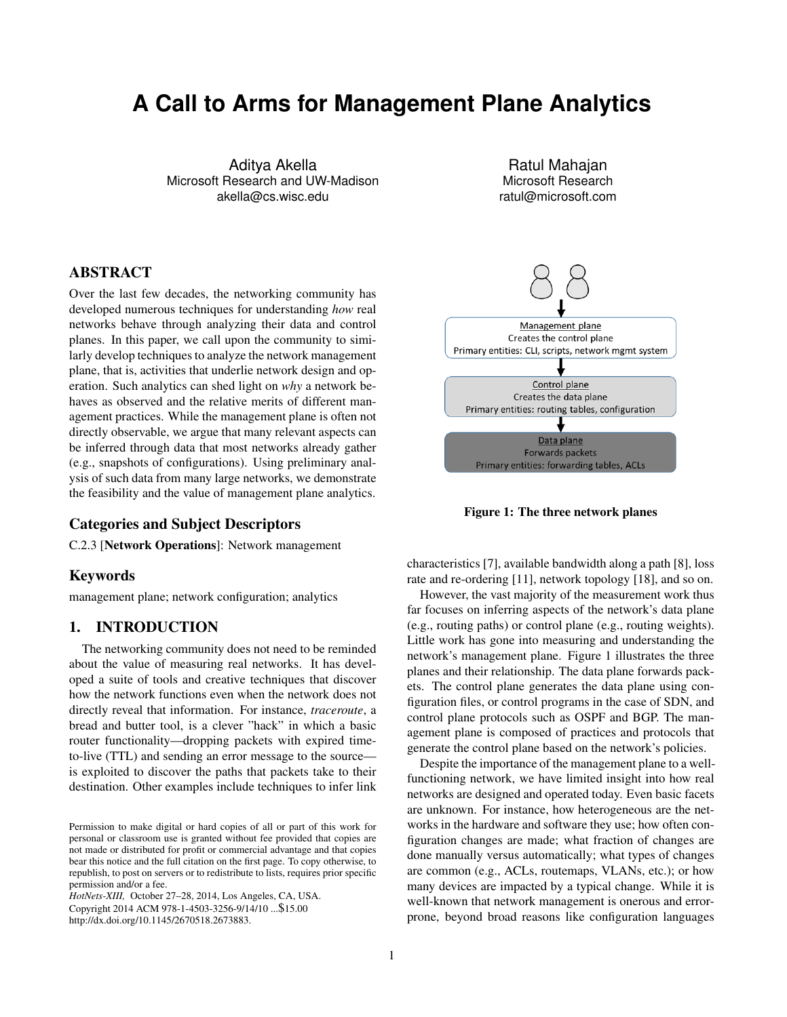# **A Call to Arms for Management Plane Analytics**

Aditya Akella **Ratul Mahajan** Microsoft Research and UW-Madison Microsoft Research akella@cs.wisc.edu ratul@microsoft.com

# **ABSTRACT**

Over the last few decades, the networking community has developed numerous techniques for understanding *how* real networks behave through analyzing their data and control planes. In this paper, we call upon the community to similarly develop techniques to analyze the network management plane, that is, activities that underlie network design and operation. Such analytics can shed light on *why* a network behaves as observed and the relative merits of different management practices. While the management plane is often not directly observable, we argue that many relevant aspects can be inferred through data that most networks already gather (e.g., snapshots of configurations). Using preliminary analysis of such data from many large networks, we demonstrate the feasibility and the value of management plane analytics.

## Categories and Subject Descriptors

C.2.3 [Network Operations]: Network management

## Keywords

management plane; network configuration; analytics

# 1. INTRODUCTION

The networking community does not need to be reminded about the value of measuring real networks. It has developed a suite of tools and creative techniques that discover how the network functions even when the network does not directly reveal that information. For instance, *traceroute*, a bread and butter tool, is a clever "hack" in which a basic router functionality—dropping packets with expired timeto-live (TTL) and sending an error message to the source is exploited to discover the paths that packets take to their destination. Other examples include techniques to infer link

*HotNets-XIII,* October 27–28, 2014, Los Angeles, CA, USA. Copyright 2014 ACM 978-1-4503-3256-9/14/10 ...\$15.00 http://dx.doi.org/10.1145/2670518.2673883.



Figure 1: The three network planes

characteristics [7], available bandwidth along a path [8], loss rate and re-ordering [11], network topology [18], and so on.

However, the vast majority of the measurement work thus far focuses on inferring aspects of the network's data plane (e.g., routing paths) or control plane (e.g., routing weights). Little work has gone into measuring and understanding the network's management plane. Figure 1 illustrates the three planes and their relationship. The data plane forwards packets. The control plane generates the data plane using configuration files, or control programs in the case of SDN, and control plane protocols such as OSPF and BGP. The management plane is composed of practices and protocols that generate the control plane based on the network's policies.

Despite the importance of the management plane to a wellfunctioning network, we have limited insight into how real networks are designed and operated today. Even basic facets are unknown. For instance, how heterogeneous are the networks in the hardware and software they use; how often configuration changes are made; what fraction of changes are done manually versus automatically; what types of changes are common (e.g., ACLs, routemaps, VLANs, etc.); or how many devices are impacted by a typical change. While it is well-known that network management is onerous and errorprone, beyond broad reasons like configuration languages

Permission to make digital or hard copies of all or part of this work for personal or classroom use is granted without fee provided that copies are not made or distributed for profit or commercial advantage and that copies bear this notice and the full citation on the first page. To copy otherwise, to republish, to post on servers or to redistribute to lists, requires prior specific permission and/or a fee.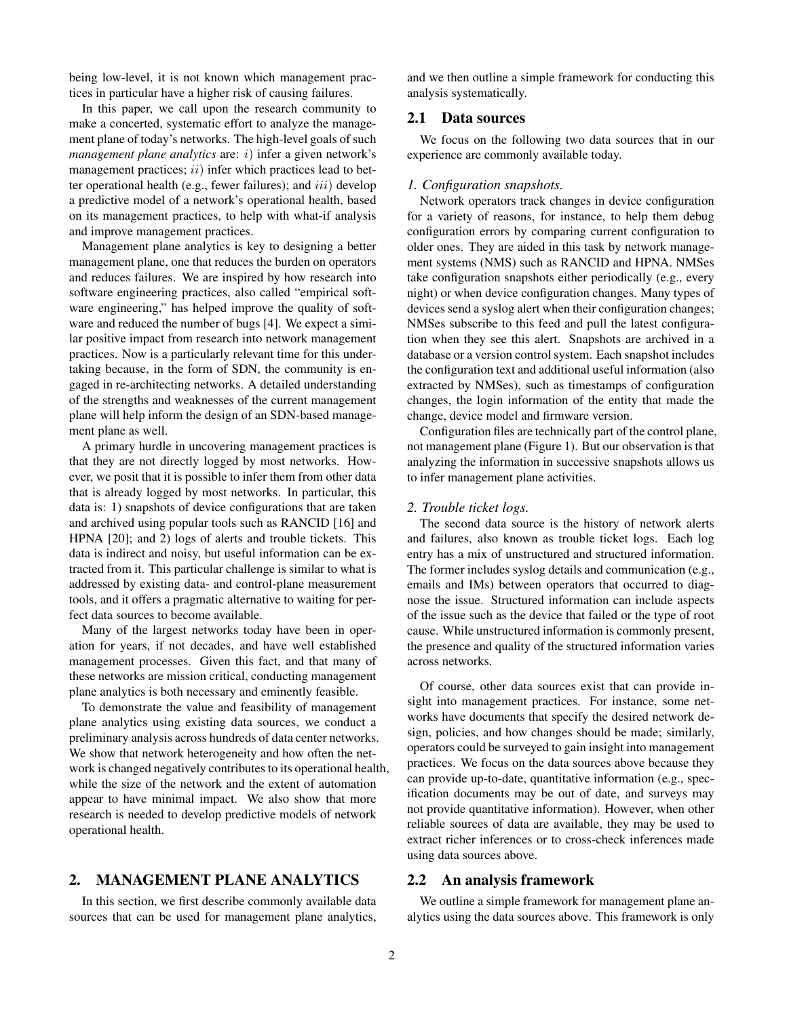being low-level, it is not known which management practices in particular have a higher risk of causing failures.

In this paper, we call upon the research community to make a concerted, systematic effort to analyze the management plane of today's networks. The high-level goals of such *management plane analytics* are: i) infer a given network's management practices;  $ii)$  infer which practices lead to better operational health (e.g., fewer failures); and  $iii)$  develop a predictive model of a network's operational health, based on its management practices, to help with what-if analysis and improve management practices.

Management plane analytics is key to designing a better management plane, one that reduces the burden on operators and reduces failures. We are inspired by how research into software engineering practices, also called "empirical software engineering," has helped improve the quality of software and reduced the number of bugs [4]. We expect a similar positive impact from research into network management practices. Now is a particularly relevant time for this undertaking because, in the form of SDN, the community is engaged in re-architecting networks. A detailed understanding of the strengths and weaknesses of the current management plane will help inform the design of an SDN-based management plane as well.

A primary hurdle in uncovering management practices is that they are not directly logged by most networks. However, we posit that it is possible to infer them from other data that is already logged by most networks. In particular, this data is: 1) snapshots of device configurations that are taken and archived using popular tools such as RANCID [16] and HPNA [20]; and 2) logs of alerts and trouble tickets. This data is indirect and noisy, but useful information can be extracted from it. This particular challenge is similar to what is addressed by existing data- and control-plane measurement tools, and it offers a pragmatic alternative to waiting for perfect data sources to become available.

Many of the largest networks today have been in operation for years, if not decades, and have well established management processes. Given this fact, and that many of these networks are mission critical, conducting management plane analytics is both necessary and eminently feasible.

To demonstrate the value and feasibility of management plane analytics using existing data sources, we conduct a preliminary analysis across hundreds of data center networks. We show that network heterogeneity and how often the network is changed negatively contributes to its operational health, while the size of the network and the extent of automation appear to have minimal impact. We also show that more research is needed to develop predictive models of network operational health.

# 2. MANAGEMENT PLANE ANALYTICS

In this section, we first describe commonly available data sources that can be used for management plane analytics,

and we then outline a simple framework for conducting this analysis systematically.

### 2.1 Data sources

We focus on the following two data sources that in our experience are commonly available today.

#### *1. Configuration snapshots.*

Network operators track changes in device configuration for a variety of reasons, for instance, to help them debug configuration errors by comparing current configuration to older ones. They are aided in this task by network management systems (NMS) such as RANCID and HPNA. NMSes take configuration snapshots either periodically (e.g., every night) or when device configuration changes. Many types of devices send a syslog alert when their configuration changes; NMSes subscribe to this feed and pull the latest configuration when they see this alert. Snapshots are archived in a database or a version control system. Each snapshot includes the configuration text and additional useful information (also extracted by NMSes), such as timestamps of configuration changes, the login information of the entity that made the change, device model and firmware version.

Configuration files are technically part of the control plane, not management plane (Figure 1). But our observation is that analyzing the information in successive snapshots allows us to infer management plane activities.

#### *2. Trouble ticket logs.*

The second data source is the history of network alerts and failures, also known as trouble ticket logs. Each log entry has a mix of unstructured and structured information. The former includes syslog details and communication (e.g., emails and IMs) between operators that occurred to diagnose the issue. Structured information can include aspects of the issue such as the device that failed or the type of root cause. While unstructured information is commonly present, the presence and quality of the structured information varies across networks.

Of course, other data sources exist that can provide insight into management practices. For instance, some networks have documents that specify the desired network design, policies, and how changes should be made; similarly, operators could be surveyed to gain insight into management practices. We focus on the data sources above because they can provide up-to-date, quantitative information (e.g., specification documents may be out of date, and surveys may not provide quantitative information). However, when other reliable sources of data are available, they may be used to extract richer inferences or to cross-check inferences made using data sources above.

## 2.2 An analysis framework

We outline a simple framework for management plane analytics using the data sources above. This framework is only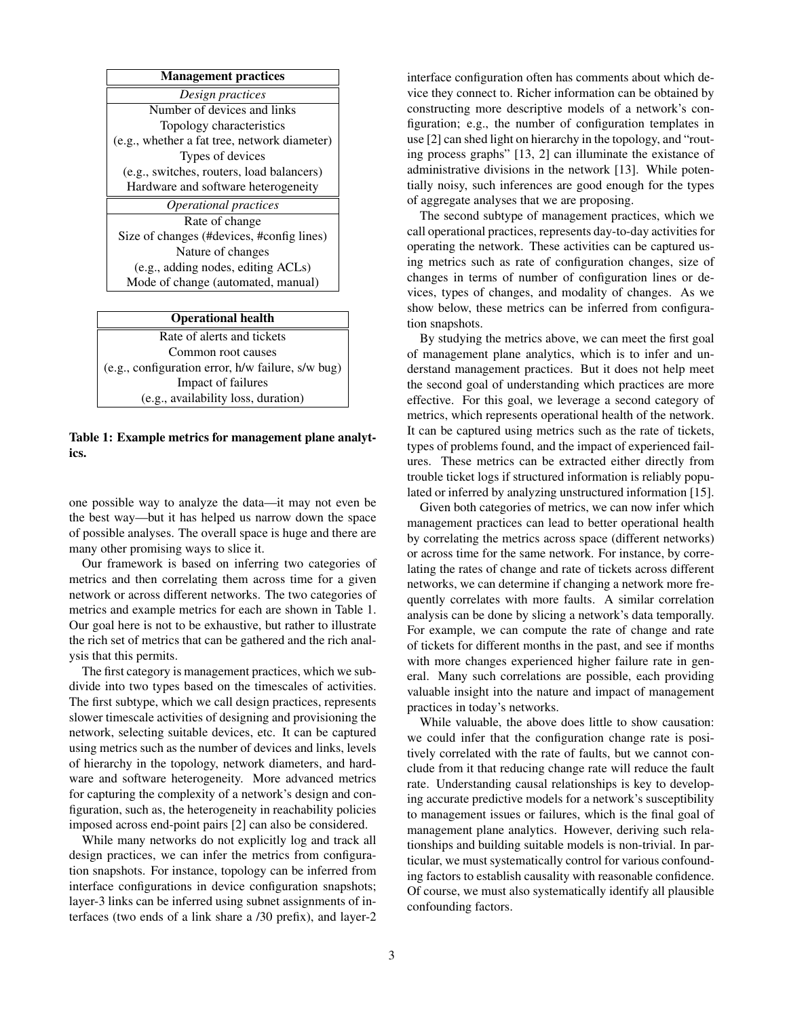| <b>Management practices</b>                  |
|----------------------------------------------|
| Design practices                             |
| Number of devices and links                  |
| Topology characteristics                     |
| (e.g., whether a fat tree, network diameter) |
| Types of devices                             |
| (e.g., switches, routers, load balancers)    |
| Hardware and software heterogeneity          |
| Operational practices                        |
| Rate of change                               |
| Size of changes (#devices, #config lines)    |
| Nature of changes                            |
| (e.g., adding nodes, editing ACLs)           |
| Mode of change (automated, manual)           |

#### Operational health

Rate of alerts and tickets Common root causes (e.g., configuration error, h/w failure, s/w bug) Impact of failures (e.g., availability loss, duration)

Table 1: Example metrics for management plane analytics.

one possible way to analyze the data—it may not even be the best way—but it has helped us narrow down the space of possible analyses. The overall space is huge and there are many other promising ways to slice it.

Our framework is based on inferring two categories of metrics and then correlating them across time for a given network or across different networks. The two categories of metrics and example metrics for each are shown in Table 1. Our goal here is not to be exhaustive, but rather to illustrate the rich set of metrics that can be gathered and the rich analysis that this permits.

The first category is management practices, which we subdivide into two types based on the timescales of activities. The first subtype, which we call design practices, represents slower timescale activities of designing and provisioning the network, selecting suitable devices, etc. It can be captured using metrics such as the number of devices and links, levels of hierarchy in the topology, network diameters, and hardware and software heterogeneity. More advanced metrics for capturing the complexity of a network's design and configuration, such as, the heterogeneity in reachability policies imposed across end-point pairs [2] can also be considered.

While many networks do not explicitly log and track all design practices, we can infer the metrics from configuration snapshots. For instance, topology can be inferred from interface configurations in device configuration snapshots; layer-3 links can be inferred using subnet assignments of interfaces (two ends of a link share a /30 prefix), and layer-2 interface configuration often has comments about which device they connect to. Richer information can be obtained by constructing more descriptive models of a network's configuration; e.g., the number of configuration templates in use [2] can shed light on hierarchy in the topology, and "routing process graphs" [13, 2] can illuminate the existance of administrative divisions in the network [13]. While potentially noisy, such inferences are good enough for the types of aggregate analyses that we are proposing.

The second subtype of management practices, which we call operational practices, represents day-to-day activities for operating the network. These activities can be captured using metrics such as rate of configuration changes, size of changes in terms of number of configuration lines or devices, types of changes, and modality of changes. As we show below, these metrics can be inferred from configuration snapshots.

By studying the metrics above, we can meet the first goal of management plane analytics, which is to infer and understand management practices. But it does not help meet the second goal of understanding which practices are more effective. For this goal, we leverage a second category of metrics, which represents operational health of the network. It can be captured using metrics such as the rate of tickets, types of problems found, and the impact of experienced failures. These metrics can be extracted either directly from trouble ticket logs if structured information is reliably populated or inferred by analyzing unstructured information [15].

Given both categories of metrics, we can now infer which management practices can lead to better operational health by correlating the metrics across space (different networks) or across time for the same network. For instance, by correlating the rates of change and rate of tickets across different networks, we can determine if changing a network more frequently correlates with more faults. A similar correlation analysis can be done by slicing a network's data temporally. For example, we can compute the rate of change and rate of tickets for different months in the past, and see if months with more changes experienced higher failure rate in general. Many such correlations are possible, each providing valuable insight into the nature and impact of management practices in today's networks.

While valuable, the above does little to show causation: we could infer that the configuration change rate is positively correlated with the rate of faults, but we cannot conclude from it that reducing change rate will reduce the fault rate. Understanding causal relationships is key to developing accurate predictive models for a network's susceptibility to management issues or failures, which is the final goal of management plane analytics. However, deriving such relationships and building suitable models is non-trivial. In particular, we must systematically control for various confounding factors to establish causality with reasonable confidence. Of course, we must also systematically identify all plausible confounding factors.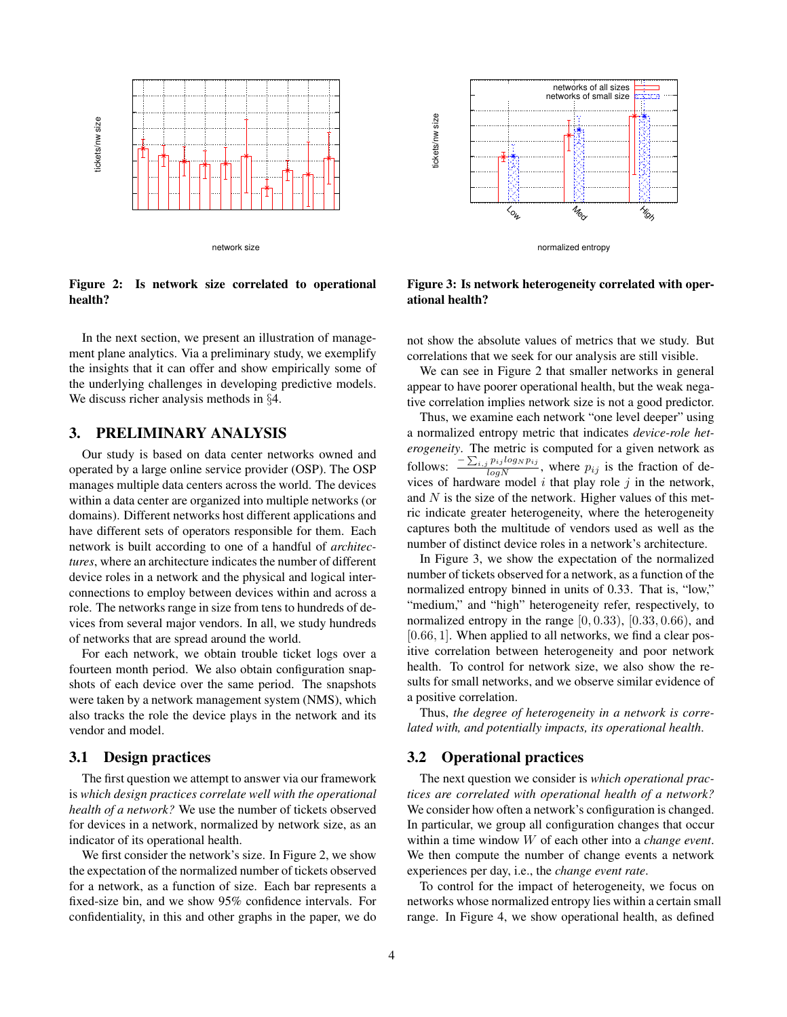

Figure 2: Is network size correlated to operational health?

In the next section, we present an illustration of management plane analytics. Via a preliminary study, we exemplify the insights that it can offer and show empirically some of the underlying challenges in developing predictive models. We discuss richer analysis methods in §4.

## 3. PRELIMINARY ANALYSIS

Our study is based on data center networks owned and operated by a large online service provider (OSP). The OSP manages multiple data centers across the world. The devices within a data center are organized into multiple networks (or domains). Different networks host different applications and have different sets of operators responsible for them. Each network is built according to one of a handful of *architectures*, where an architecture indicates the number of different device roles in a network and the physical and logical interconnections to employ between devices within and across a role. The networks range in size from tens to hundreds of devices from several major vendors. In all, we study hundreds of networks that are spread around the world.

For each network, we obtain trouble ticket logs over a fourteen month period. We also obtain configuration snapshots of each device over the same period. The snapshots were taken by a network management system (NMS), which also tracks the role the device plays in the network and its vendor and model.

## 3.1 Design practices

The first question we attempt to answer via our framework is *which design practices correlate well with the operational health of a network?* We use the number of tickets observed for devices in a network, normalized by network size, as an indicator of its operational health.

We first consider the network's size. In Figure 2, we show the expectation of the normalized number of tickets observed for a network, as a function of size. Each bar represents a fixed-size bin, and we show 95% confidence intervals. For confidentiality, in this and other graphs in the paper, we do



Figure 3: Is network heterogeneity correlated with operational health?

not show the absolute values of metrics that we study. But correlations that we seek for our analysis are still visible.

We can see in Figure 2 that smaller networks in general appear to have poorer operational health, but the weak negative correlation implies network size is not a good predictor.

Thus, we examine each network "one level deeper" using a normalized entropy metric that indicates *device-role heterogeneity*. The metric is computed for a given network as follows:  $\frac{-\sum_{i,j} p_{ij} log_N p_{ij}}{log N}$ , where  $p_{ij}$  is the fraction of devices of hardware model  $i$  that play role  $j$  in the network, and  $N$  is the size of the network. Higher values of this metric indicate greater heterogeneity, where the heterogeneity captures both the multitude of vendors used as well as the number of distinct device roles in a network's architecture.

In Figure 3, we show the expectation of the normalized number of tickets observed for a network, as a function of the normalized entropy binned in units of 0.33. That is, "low," "medium," and "high" heterogeneity refer, respectively, to normalized entropy in the range  $[0, 0.33)$ ,  $[0.33, 0.66)$ , and  $[0.66, 1]$ . When applied to all networks, we find a clear positive correlation between heterogeneity and poor network health. To control for network size, we also show the results for small networks, and we observe similar evidence of a positive correlation.

Thus, *the degree of heterogeneity in a network is correlated with, and potentially impacts, its operational health*.

#### 3.2 Operational practices

The next question we consider is *which operational practices are correlated with operational health of a network?* We consider how often a network's configuration is changed. In particular, we group all configuration changes that occur within a time window W of each other into a *change event*. We then compute the number of change events a network experiences per day, i.e., the *change event rate*.

To control for the impact of heterogeneity, we focus on networks whose normalized entropy lies within a certain small range. In Figure 4, we show operational health, as defined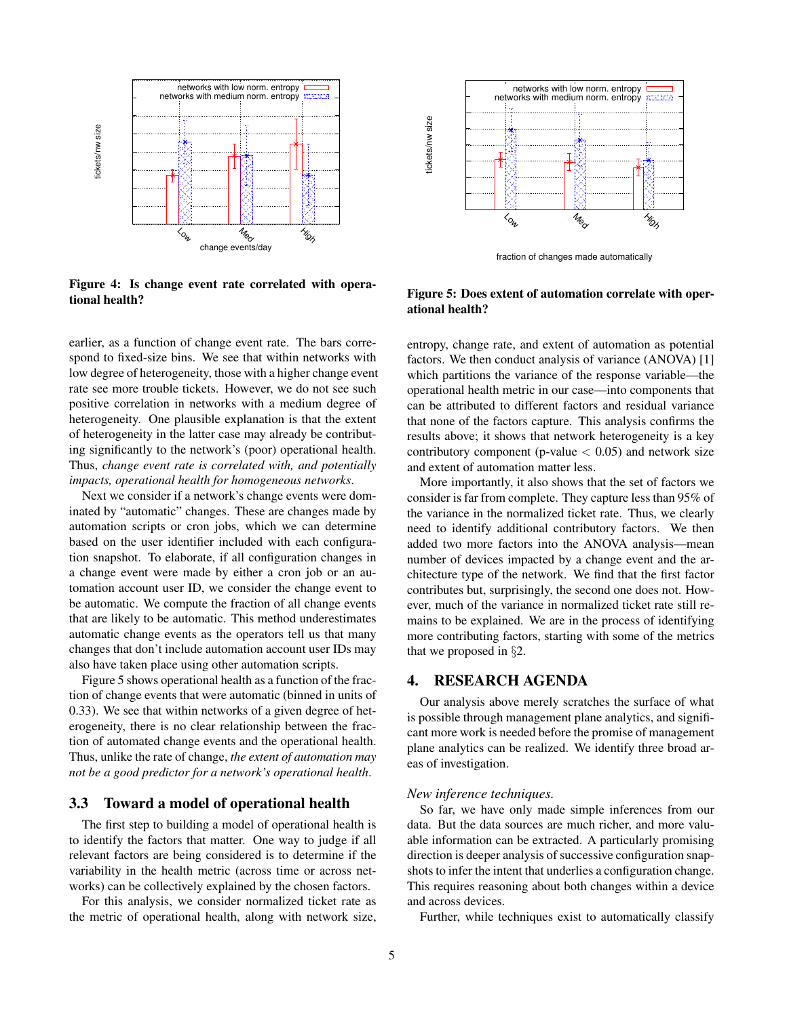

Figure 4: Is change event rate correlated with operational health?

earlier, as a function of change event rate. The bars correspond to fixed-size bins. We see that within networks with low degree of heterogeneity, those with a higher change event rate see more trouble tickets. However, we do not see such positive correlation in networks with a medium degree of heterogeneity. One plausible explanation is that the extent of heterogeneity in the latter case may already be contributing significantly to the network's (poor) operational health. Thus, *change event rate is correlated with, and potentially impacts, operational health for homogeneous networks*.

Next we consider if a network's change events were dominated by "automatic" changes. These are changes made by automation scripts or cron jobs, which we can determine based on the user identifier included with each configuration snapshot. To elaborate, if all configuration changes in a change event were made by either a cron job or an automation account user ID, we consider the change event to be automatic. We compute the fraction of all change events that are likely to be automatic. This method underestimates automatic change events as the operators tell us that many changes that don't include automation account user IDs may also have taken place using other automation scripts.

Figure 5 shows operational health as a function of the fraction of change events that were automatic (binned in units of 0.33). We see that within networks of a given degree of heterogeneity, there is no clear relationship between the fraction of automated change events and the operational health. Thus, unlike the rate of change, *the extent of automation may not be a good predictor for a network's operational health*.

## 3.3 Toward a model of operational health

The first step to building a model of operational health is to identify the factors that matter. One way to judge if all relevant factors are being considered is to determine if the variability in the health metric (across time or across networks) can be collectively explained by the chosen factors.

For this analysis, we consider normalized ticket rate as the metric of operational health, along with network size,



fraction of changes made automatically

#### Figure 5: Does extent of automation correlate with operational health?

entropy, change rate, and extent of automation as potential factors. We then conduct analysis of variance (ANOVA) [1] which partitions the variance of the response variable—the operational health metric in our case—into components that can be attributed to different factors and residual variance that none of the factors capture. This analysis confirms the results above; it shows that network heterogeneity is a key contributory component (p-value  $< 0.05$ ) and network size and extent of automation matter less.

More importantly, it also shows that the set of factors we consider is far from complete. They capture less than 95% of the variance in the normalized ticket rate. Thus, we clearly need to identify additional contributory factors. We then added two more factors into the ANOVA analysis—mean number of devices impacted by a change event and the architecture type of the network. We find that the first factor contributes but, surprisingly, the second one does not. However, much of the variance in normalized ticket rate still remains to be explained. We are in the process of identifying more contributing factors, starting with some of the metrics that we proposed in §2.

## 4. RESEARCH AGENDA

Our analysis above merely scratches the surface of what is possible through management plane analytics, and significant more work is needed before the promise of management plane analytics can be realized. We identify three broad areas of investigation.

#### *New inference techniques.*

So far, we have only made simple inferences from our data. But the data sources are much richer, and more valuable information can be extracted. A particularly promising direction is deeper analysis of successive configuration snapshots to infer the intent that underlies a configuration change. This requires reasoning about both changes within a device and across devices.

Further, while techniques exist to automatically classify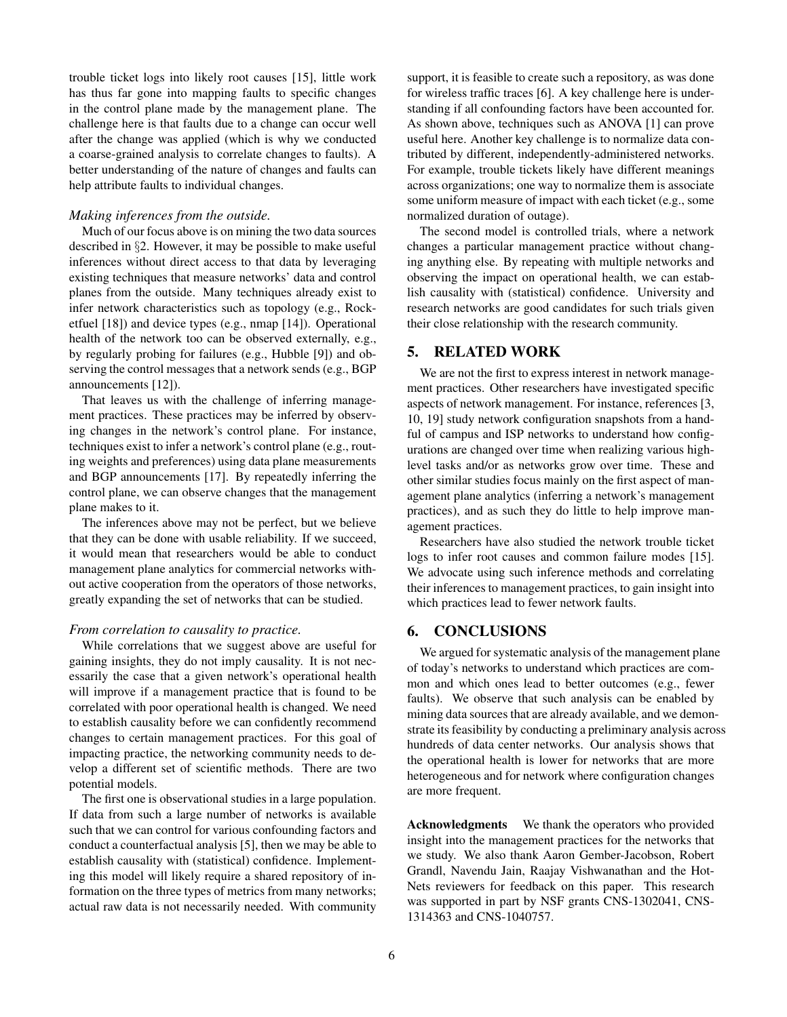trouble ticket logs into likely root causes [15], little work has thus far gone into mapping faults to specific changes in the control plane made by the management plane. The challenge here is that faults due to a change can occur well after the change was applied (which is why we conducted a coarse-grained analysis to correlate changes to faults). A better understanding of the nature of changes and faults can help attribute faults to individual changes.

#### *Making inferences from the outside.*

Much of our focus above is on mining the two data sources described in §2. However, it may be possible to make useful inferences without direct access to that data by leveraging existing techniques that measure networks' data and control planes from the outside. Many techniques already exist to infer network characteristics such as topology (e.g., Rocketfuel [18]) and device types (e.g., nmap [14]). Operational health of the network too can be observed externally, e.g., by regularly probing for failures (e.g., Hubble [9]) and observing the control messages that a network sends (e.g., BGP announcements [12]).

That leaves us with the challenge of inferring management practices. These practices may be inferred by observing changes in the network's control plane. For instance, techniques exist to infer a network's control plane (e.g., routing weights and preferences) using data plane measurements and BGP announcements [17]. By repeatedly inferring the control plane, we can observe changes that the management plane makes to it.

The inferences above may not be perfect, but we believe that they can be done with usable reliability. If we succeed, it would mean that researchers would be able to conduct management plane analytics for commercial networks without active cooperation from the operators of those networks, greatly expanding the set of networks that can be studied.

#### *From correlation to causality to practice.*

While correlations that we suggest above are useful for gaining insights, they do not imply causality. It is not necessarily the case that a given network's operational health will improve if a management practice that is found to be correlated with poor operational health is changed. We need to establish causality before we can confidently recommend changes to certain management practices. For this goal of impacting practice, the networking community needs to develop a different set of scientific methods. There are two potential models.

The first one is observational studies in a large population. If data from such a large number of networks is available such that we can control for various confounding factors and conduct a counterfactual analysis [5], then we may be able to establish causality with (statistical) confidence. Implementing this model will likely require a shared repository of information on the three types of metrics from many networks; actual raw data is not necessarily needed. With community support, it is feasible to create such a repository, as was done for wireless traffic traces [6]. A key challenge here is understanding if all confounding factors have been accounted for. As shown above, techniques such as ANOVA [1] can prove useful here. Another key challenge is to normalize data contributed by different, independently-administered networks. For example, trouble tickets likely have different meanings across organizations; one way to normalize them is associate some uniform measure of impact with each ticket (e.g., some normalized duration of outage).

The second model is controlled trials, where a network changes a particular management practice without changing anything else. By repeating with multiple networks and observing the impact on operational health, we can establish causality with (statistical) confidence. University and research networks are good candidates for such trials given their close relationship with the research community.

#### 5. RELATED WORK

We are not the first to express interest in network management practices. Other researchers have investigated specific aspects of network management. For instance, references [3, 10, 19] study network configuration snapshots from a handful of campus and ISP networks to understand how configurations are changed over time when realizing various highlevel tasks and/or as networks grow over time. These and other similar studies focus mainly on the first aspect of management plane analytics (inferring a network's management practices), and as such they do little to help improve management practices.

Researchers have also studied the network trouble ticket logs to infer root causes and common failure modes [15]. We advocate using such inference methods and correlating their inferences to management practices, to gain insight into which practices lead to fewer network faults.

### 6. CONCLUSIONS

We argued for systematic analysis of the management plane of today's networks to understand which practices are common and which ones lead to better outcomes (e.g., fewer faults). We observe that such analysis can be enabled by mining data sources that are already available, and we demonstrate its feasibility by conducting a preliminary analysis across hundreds of data center networks. Our analysis shows that the operational health is lower for networks that are more heterogeneous and for network where configuration changes are more frequent.

Acknowledgments We thank the operators who provided insight into the management practices for the networks that we study. We also thank Aaron Gember-Jacobson, Robert Grandl, Navendu Jain, Raajay Vishwanathan and the Hot-Nets reviewers for feedback on this paper. This research was supported in part by NSF grants CNS-1302041, CNS-1314363 and CNS-1040757.